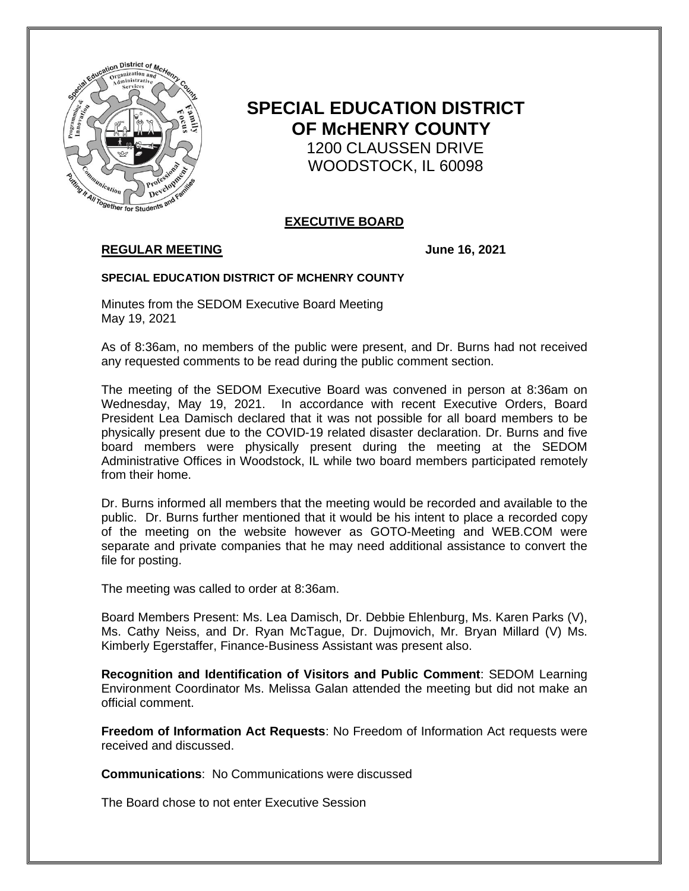

# **SPECIAL EDUCATION DISTRICT OF McHENRY COUNTY** 1200 CLAUSSEN DRIVE WOODSTOCK, IL 60098

### **EXECUTIVE BOARD**

## **REGULAR MEETING June 16, 2021**

#### **SPECIAL EDUCATION DISTRICT OF MCHENRY COUNTY**

Minutes from the SEDOM Executive Board Meeting May 19, 2021

As of 8:36am, no members of the public were present, and Dr. Burns had not received any requested comments to be read during the public comment section.

The meeting of the SEDOM Executive Board was convened in person at 8:36am on Wednesday, May 19, 2021. In accordance with recent Executive Orders, Board President Lea Damisch declared that it was not possible for all board members to be physically present due to the COVID-19 related disaster declaration. Dr. Burns and five board members were physically present during the meeting at the SEDOM Administrative Offices in Woodstock, IL while two board members participated remotely from their home.

Dr. Burns informed all members that the meeting would be recorded and available to the public. Dr. Burns further mentioned that it would be his intent to place a recorded copy of the meeting on the website however as GOTO-Meeting and WEB.COM were separate and private companies that he may need additional assistance to convert the file for posting.

The meeting was called to order at 8:36am.

Board Members Present: Ms. Lea Damisch, Dr. Debbie Ehlenburg, Ms. Karen Parks (V), Ms. Cathy Neiss, and Dr. Ryan McTague, Dr. Dujmovich, Mr. Bryan Millard (V) Ms. Kimberly Egerstaffer, Finance-Business Assistant was present also.

**Recognition and Identification of Visitors and Public Comment**: SEDOM Learning Environment Coordinator Ms. Melissa Galan attended the meeting but did not make an official comment.

**Freedom of Information Act Requests**: No Freedom of Information Act requests were received and discussed.

**Communications**: No Communications were discussed

The Board chose to not enter Executive Session